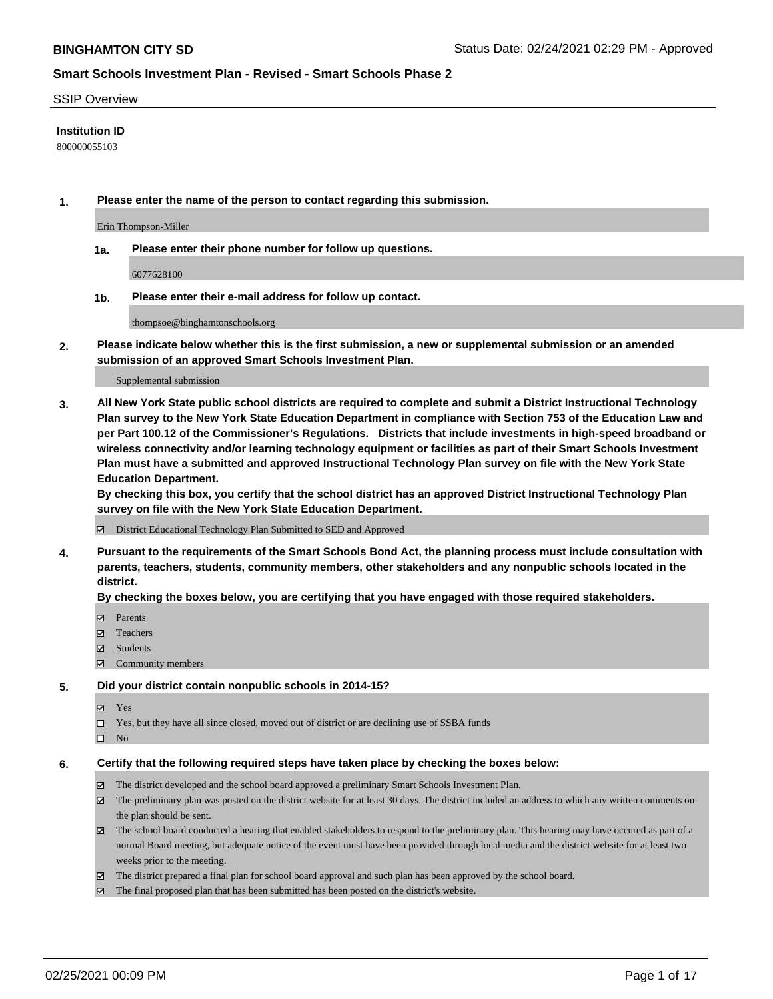#### SSIP Overview

#### **Institution ID**

800000055103

**1. Please enter the name of the person to contact regarding this submission.**

Erin Thompson-Miller

**1a. Please enter their phone number for follow up questions.**

6077628100

**1b. Please enter their e-mail address for follow up contact.**

thompsoe@binghamtonschools.org

**2. Please indicate below whether this is the first submission, a new or supplemental submission or an amended submission of an approved Smart Schools Investment Plan.**

#### Supplemental submission

**3. All New York State public school districts are required to complete and submit a District Instructional Technology Plan survey to the New York State Education Department in compliance with Section 753 of the Education Law and per Part 100.12 of the Commissioner's Regulations. Districts that include investments in high-speed broadband or wireless connectivity and/or learning technology equipment or facilities as part of their Smart Schools Investment Plan must have a submitted and approved Instructional Technology Plan survey on file with the New York State Education Department.** 

**By checking this box, you certify that the school district has an approved District Instructional Technology Plan survey on file with the New York State Education Department.**

District Educational Technology Plan Submitted to SED and Approved

**4. Pursuant to the requirements of the Smart Schools Bond Act, the planning process must include consultation with parents, teachers, students, community members, other stakeholders and any nonpublic schools located in the district.** 

#### **By checking the boxes below, you are certifying that you have engaged with those required stakeholders.**

- **Ø** Parents
- Teachers
- Students
- Community members

#### **5. Did your district contain nonpublic schools in 2014-15?**

- Yes
- □ Yes, but they have all since closed, moved out of district or are declining use of SSBA funds
- $\hfill \square$  No

#### **6. Certify that the following required steps have taken place by checking the boxes below:**

- The district developed and the school board approved a preliminary Smart Schools Investment Plan.
- The preliminary plan was posted on the district website for at least 30 days. The district included an address to which any written comments on the plan should be sent.
- The school board conducted a hearing that enabled stakeholders to respond to the preliminary plan. This hearing may have occured as part of a normal Board meeting, but adequate notice of the event must have been provided through local media and the district website for at least two weeks prior to the meeting.
- The district prepared a final plan for school board approval and such plan has been approved by the school board.
- $\boxtimes$  The final proposed plan that has been submitted has been posted on the district's website.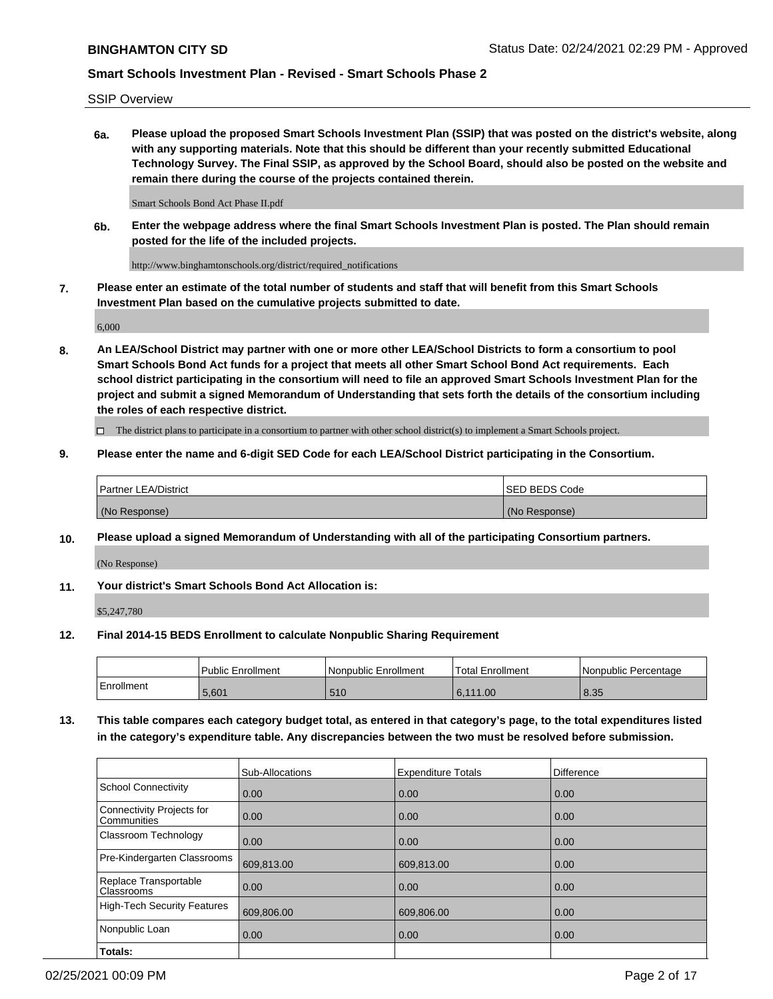SSIP Overview

**6a. Please upload the proposed Smart Schools Investment Plan (SSIP) that was posted on the district's website, along with any supporting materials. Note that this should be different than your recently submitted Educational Technology Survey. The Final SSIP, as approved by the School Board, should also be posted on the website and remain there during the course of the projects contained therein.**

Smart Schools Bond Act Phase II.pdf

**6b. Enter the webpage address where the final Smart Schools Investment Plan is posted. The Plan should remain posted for the life of the included projects.**

http://www.binghamtonschools.org/district/required\_notifications

**7. Please enter an estimate of the total number of students and staff that will benefit from this Smart Schools Investment Plan based on the cumulative projects submitted to date.**

6,000

**8. An LEA/School District may partner with one or more other LEA/School Districts to form a consortium to pool Smart Schools Bond Act funds for a project that meets all other Smart School Bond Act requirements. Each school district participating in the consortium will need to file an approved Smart Schools Investment Plan for the project and submit a signed Memorandum of Understanding that sets forth the details of the consortium including the roles of each respective district.**

 $\Box$  The district plans to participate in a consortium to partner with other school district(s) to implement a Smart Schools project.

#### **9. Please enter the name and 6-digit SED Code for each LEA/School District participating in the Consortium.**

| Partner LEA/District | <b>ISED BEDS Code</b> |
|----------------------|-----------------------|
| (No Response)        | (No Response)         |

### **10. Please upload a signed Memorandum of Understanding with all of the participating Consortium partners.**

(No Response)

**11. Your district's Smart Schools Bond Act Allocation is:**

\$5,247,780

#### **12. Final 2014-15 BEDS Enrollment to calculate Nonpublic Sharing Requirement**

|            | Public Enrollment | Nonpublic Enrollment | Total Enrollment | l Nonpublic Percentage |
|------------|-------------------|----------------------|------------------|------------------------|
| Enrollment | 5.601             | 510                  | 6,111.00         | 8.35                   |

**13. This table compares each category budget total, as entered in that category's page, to the total expenditures listed in the category's expenditure table. Any discrepancies between the two must be resolved before submission.**

|                                          | Sub-Allocations | <b>Expenditure Totals</b> | Difference |
|------------------------------------------|-----------------|---------------------------|------------|
| <b>School Connectivity</b>               | 0.00            | 0.00                      | 0.00       |
| Connectivity Projects for<br>Communities | 0.00            | 0.00                      | 0.00       |
| Classroom Technology                     | 0.00            | 0.00                      | 0.00       |
| Pre-Kindergarten Classrooms              | 609,813.00      | 609,813.00                | 0.00       |
| Replace Transportable<br>Classrooms      | 0.00            | 0.00                      | 0.00       |
| <b>High-Tech Security Features</b>       | 609,806.00      | 609,806.00                | 0.00       |
| Nonpublic Loan                           | 0.00            | 0.00                      | 0.00       |
| Totals:                                  |                 |                           |            |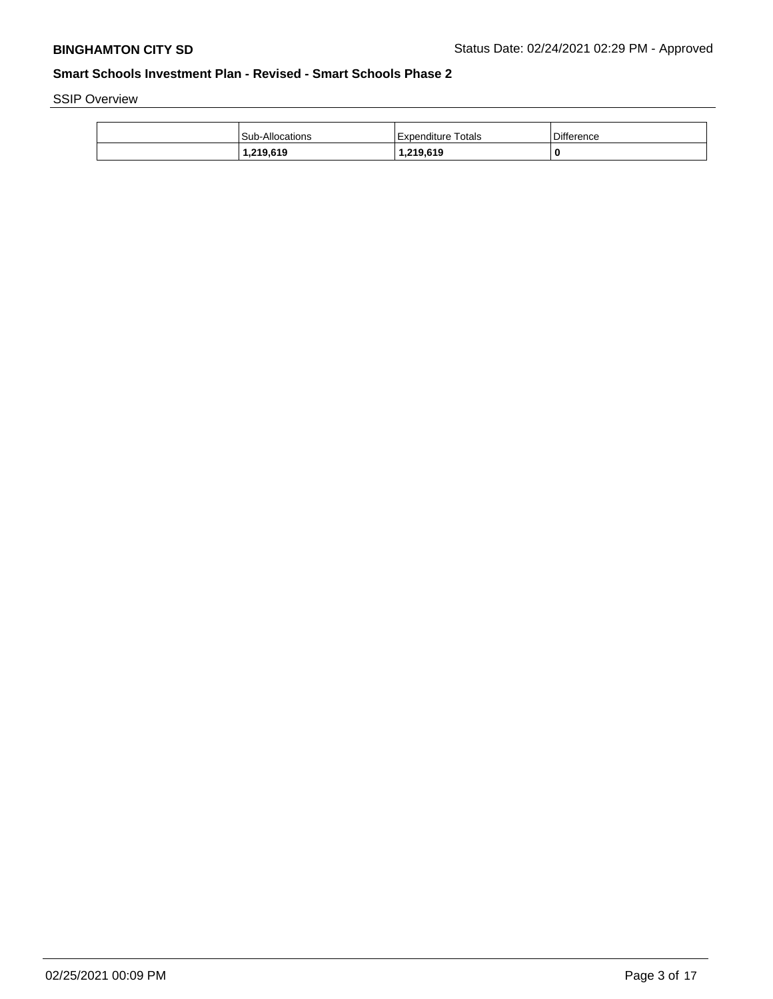SSIP Overview

| Sub-Allocations | Expenditure Totals | Difference |
|-----------------|--------------------|------------|
| 1,219,619       | 1,219,619          | 0          |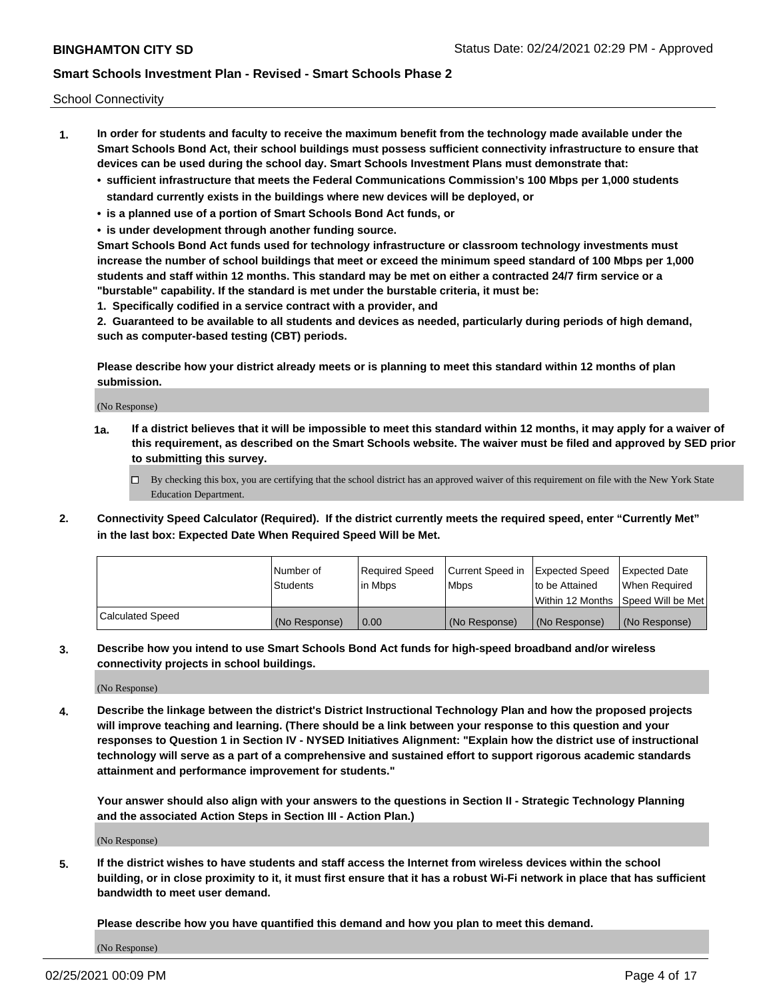School Connectivity

- **1. In order for students and faculty to receive the maximum benefit from the technology made available under the Smart Schools Bond Act, their school buildings must possess sufficient connectivity infrastructure to ensure that devices can be used during the school day. Smart Schools Investment Plans must demonstrate that:**
	- **• sufficient infrastructure that meets the Federal Communications Commission's 100 Mbps per 1,000 students standard currently exists in the buildings where new devices will be deployed, or**
	- **• is a planned use of a portion of Smart Schools Bond Act funds, or**
	- **• is under development through another funding source.**

**Smart Schools Bond Act funds used for technology infrastructure or classroom technology investments must increase the number of school buildings that meet or exceed the minimum speed standard of 100 Mbps per 1,000 students and staff within 12 months. This standard may be met on either a contracted 24/7 firm service or a "burstable" capability. If the standard is met under the burstable criteria, it must be:**

**1. Specifically codified in a service contract with a provider, and**

**2. Guaranteed to be available to all students and devices as needed, particularly during periods of high demand, such as computer-based testing (CBT) periods.**

**Please describe how your district already meets or is planning to meet this standard within 12 months of plan submission.**

(No Response)

**1a. If a district believes that it will be impossible to meet this standard within 12 months, it may apply for a waiver of this requirement, as described on the Smart Schools website. The waiver must be filed and approved by SED prior to submitting this survey.**

 $\Box$  By checking this box, you are certifying that the school district has an approved waiver of this requirement on file with the New York State Education Department.

**2. Connectivity Speed Calculator (Required). If the district currently meets the required speed, enter "Currently Met" in the last box: Expected Date When Required Speed Will be Met.**

|                  | l Number of     | Required Speed | Current Speed in | Expected Speed  | Expected Date                           |
|------------------|-----------------|----------------|------------------|-----------------|-----------------------------------------|
|                  | <b>Students</b> | In Mbps        | l Mbps           | to be Attained  | When Required                           |
|                  |                 |                |                  |                 | l Within 12 Months ISpeed Will be Met l |
| Calculated Speed | (No Response)   | 0.00           | (No Response)    | l (No Response) | l (No Response)                         |

**3. Describe how you intend to use Smart Schools Bond Act funds for high-speed broadband and/or wireless connectivity projects in school buildings.**

(No Response)

**4. Describe the linkage between the district's District Instructional Technology Plan and how the proposed projects will improve teaching and learning. (There should be a link between your response to this question and your responses to Question 1 in Section IV - NYSED Initiatives Alignment: "Explain how the district use of instructional technology will serve as a part of a comprehensive and sustained effort to support rigorous academic standards attainment and performance improvement for students."** 

**Your answer should also align with your answers to the questions in Section II - Strategic Technology Planning and the associated Action Steps in Section III - Action Plan.)**

(No Response)

**5. If the district wishes to have students and staff access the Internet from wireless devices within the school building, or in close proximity to it, it must first ensure that it has a robust Wi-Fi network in place that has sufficient bandwidth to meet user demand.**

**Please describe how you have quantified this demand and how you plan to meet this demand.**

(No Response)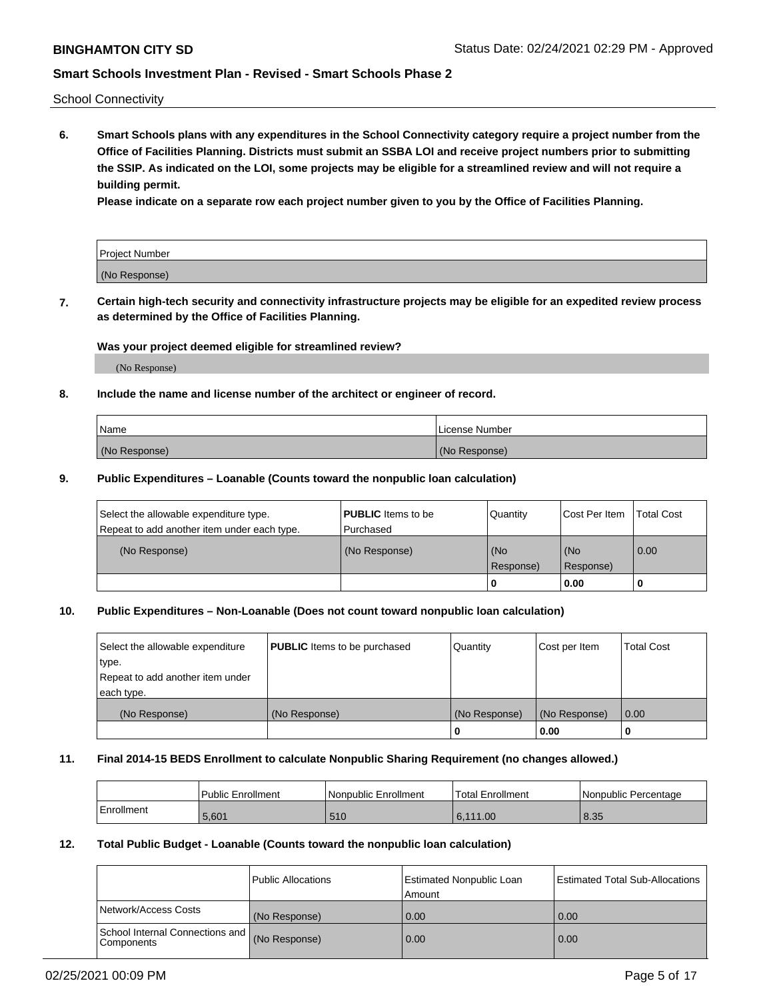School Connectivity

**6. Smart Schools plans with any expenditures in the School Connectivity category require a project number from the Office of Facilities Planning. Districts must submit an SSBA LOI and receive project numbers prior to submitting the SSIP. As indicated on the LOI, some projects may be eligible for a streamlined review and will not require a building permit.**

**Please indicate on a separate row each project number given to you by the Office of Facilities Planning.**

| Project Number |  |
|----------------|--|
| (No Response)  |  |

**7. Certain high-tech security and connectivity infrastructure projects may be eligible for an expedited review process as determined by the Office of Facilities Planning.**

### **Was your project deemed eligible for streamlined review?**

(No Response)

### **8. Include the name and license number of the architect or engineer of record.**

| Name          | License Number |
|---------------|----------------|
| (No Response) | (No Response)  |

#### **9. Public Expenditures – Loanable (Counts toward the nonpublic loan calculation)**

| Select the allowable expenditure type.<br>Repeat to add another item under each type. | <b>PUBLIC</b> Items to be<br>l Purchased | Quantity           | Cost Per Item    | <b>Total Cost</b> |
|---------------------------------------------------------------------------------------|------------------------------------------|--------------------|------------------|-------------------|
| (No Response)                                                                         | (No Response)                            | l (No<br>Response) | (No<br>Response) | $\overline{0.00}$ |
|                                                                                       |                                          | O                  | 0.00             |                   |

## **10. Public Expenditures – Non-Loanable (Does not count toward nonpublic loan calculation)**

| Select the allowable expenditure<br>type.<br>Repeat to add another item under<br>each type. | <b>PUBLIC</b> Items to be purchased | Quantity      | Cost per Item | <b>Total Cost</b> |
|---------------------------------------------------------------------------------------------|-------------------------------------|---------------|---------------|-------------------|
| (No Response)                                                                               | (No Response)                       | (No Response) | (No Response) | 0.00              |
|                                                                                             |                                     |               | 0.00          |                   |

#### **11. Final 2014-15 BEDS Enrollment to calculate Nonpublic Sharing Requirement (no changes allowed.)**

|            | Public Enrollment | Nonpublic Enrollment | 'Total Enrollment | l Nonpublic Percentage |
|------------|-------------------|----------------------|-------------------|------------------------|
| Enrollment | 5,601             | 510                  | 6.111.00          | 8.35                   |

#### **12. Total Public Budget - Loanable (Counts toward the nonpublic loan calculation)**

|                                                      | Public Allocations | Estimated Nonpublic Loan<br>Amount | Estimated Total Sub-Allocations |
|------------------------------------------------------|--------------------|------------------------------------|---------------------------------|
| Network/Access Costs                                 | (No Response)      | 0.00                               | 0.00                            |
| School Internal Connections and<br><b>Components</b> | (No Response)      | 0.00                               | 0.00                            |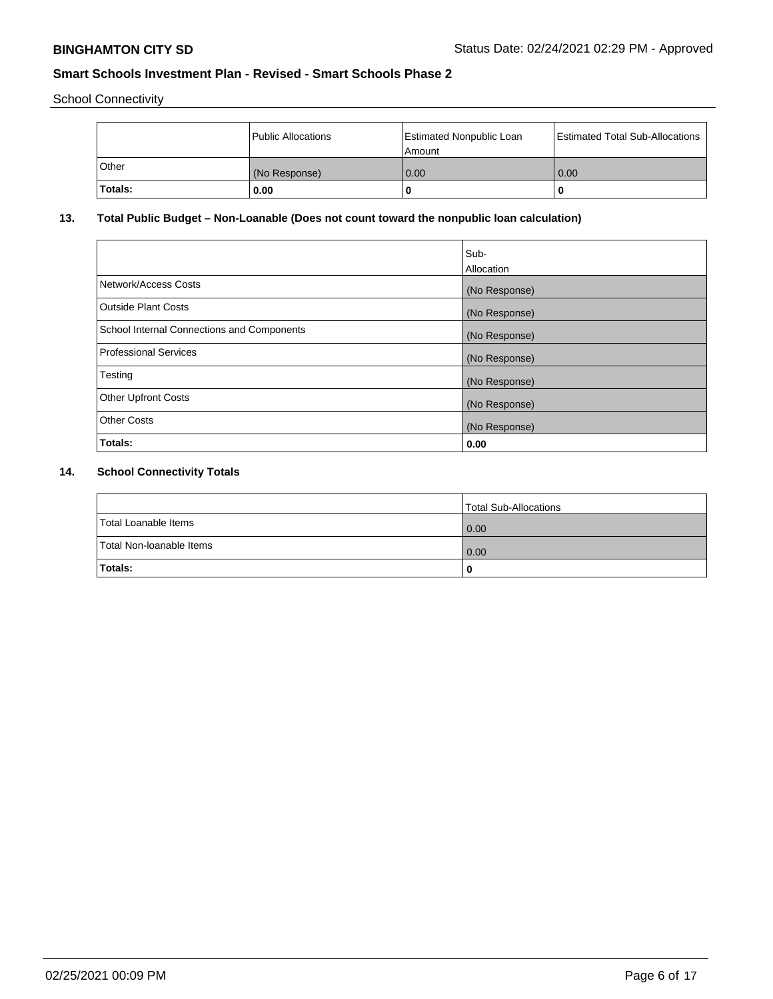School Connectivity

|                | Public Allocations | <b>Estimated Nonpublic Loan</b><br>l Amount | <b>Estimated Total Sub-Allocations</b> |
|----------------|--------------------|---------------------------------------------|----------------------------------------|
| l Other        | (No Response)      | 0.00                                        | 0.00                                   |
| <b>Totals:</b> | 0.00               | 0                                           |                                        |

### **13. Total Public Budget – Non-Loanable (Does not count toward the nonpublic loan calculation)**

|                                                   | Sub-<br>Allocation |
|---------------------------------------------------|--------------------|
|                                                   |                    |
| Network/Access Costs                              | (No Response)      |
| <b>Outside Plant Costs</b>                        | (No Response)      |
| <b>School Internal Connections and Components</b> | (No Response)      |
| Professional Services                             | (No Response)      |
| Testing                                           | (No Response)      |
| <b>Other Upfront Costs</b>                        | (No Response)      |
| <b>Other Costs</b>                                | (No Response)      |
| <b>Totals:</b>                                    | 0.00               |

# **14. School Connectivity Totals**

|                          | Total Sub-Allocations |
|--------------------------|-----------------------|
| Total Loanable Items     | 0.00                  |
| Total Non-Ioanable Items | 0.00                  |
| Totals:                  | 0                     |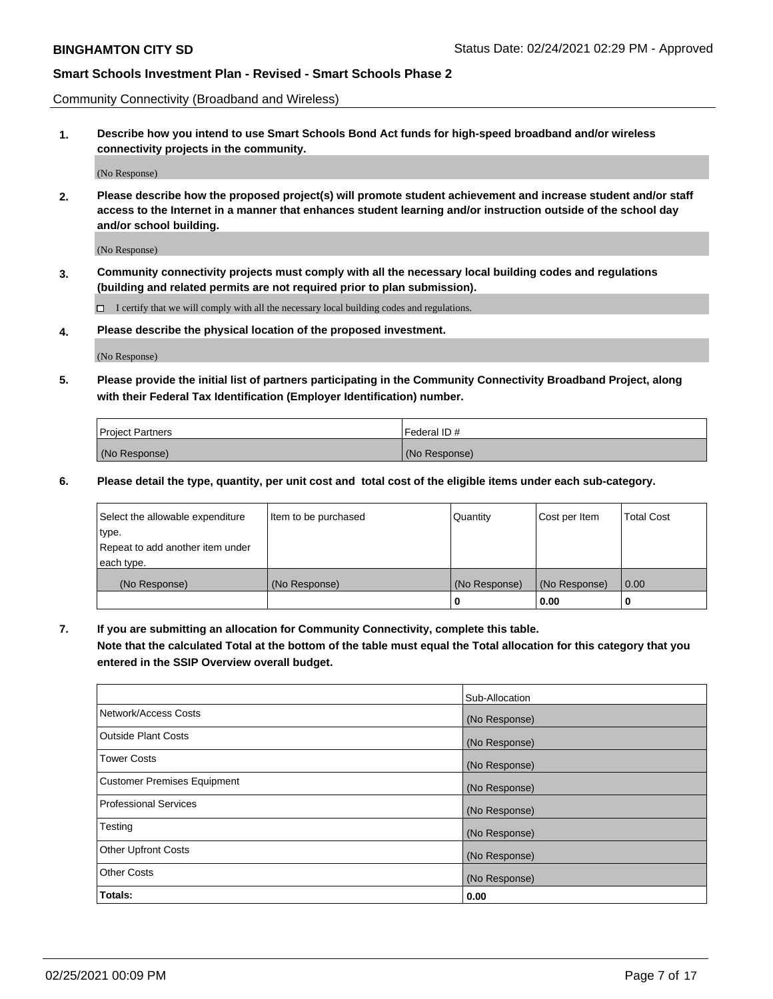Community Connectivity (Broadband and Wireless)

**1. Describe how you intend to use Smart Schools Bond Act funds for high-speed broadband and/or wireless connectivity projects in the community.**

(No Response)

**2. Please describe how the proposed project(s) will promote student achievement and increase student and/or staff access to the Internet in a manner that enhances student learning and/or instruction outside of the school day and/or school building.**

(No Response)

**3. Community connectivity projects must comply with all the necessary local building codes and regulations (building and related permits are not required prior to plan submission).**

 $\Box$  I certify that we will comply with all the necessary local building codes and regulations.

**4. Please describe the physical location of the proposed investment.**

(No Response)

**5. Please provide the initial list of partners participating in the Community Connectivity Broadband Project, along with their Federal Tax Identification (Employer Identification) number.**

| <b>Project Partners</b> | l Federal ID # |
|-------------------------|----------------|
| (No Response)           | (No Response)  |

**6. Please detail the type, quantity, per unit cost and total cost of the eligible items under each sub-category.**

| Select the allowable expenditure | Item to be purchased | Quantity      | Cost per Item | <b>Total Cost</b> |
|----------------------------------|----------------------|---------------|---------------|-------------------|
| type.                            |                      |               |               |                   |
| Repeat to add another item under |                      |               |               |                   |
| each type.                       |                      |               |               |                   |
| (No Response)                    | (No Response)        | (No Response) | (No Response) | 0.00              |
|                                  |                      | U             | 0.00          |                   |

**7. If you are submitting an allocation for Community Connectivity, complete this table.**

**Note that the calculated Total at the bottom of the table must equal the Total allocation for this category that you entered in the SSIP Overview overall budget.**

|                                    | Sub-Allocation |
|------------------------------------|----------------|
| Network/Access Costs               | (No Response)  |
| Outside Plant Costs                | (No Response)  |
| <b>Tower Costs</b>                 | (No Response)  |
| <b>Customer Premises Equipment</b> | (No Response)  |
| <b>Professional Services</b>       | (No Response)  |
| Testing                            | (No Response)  |
| <b>Other Upfront Costs</b>         | (No Response)  |
| <b>Other Costs</b>                 | (No Response)  |
| Totals:                            | 0.00           |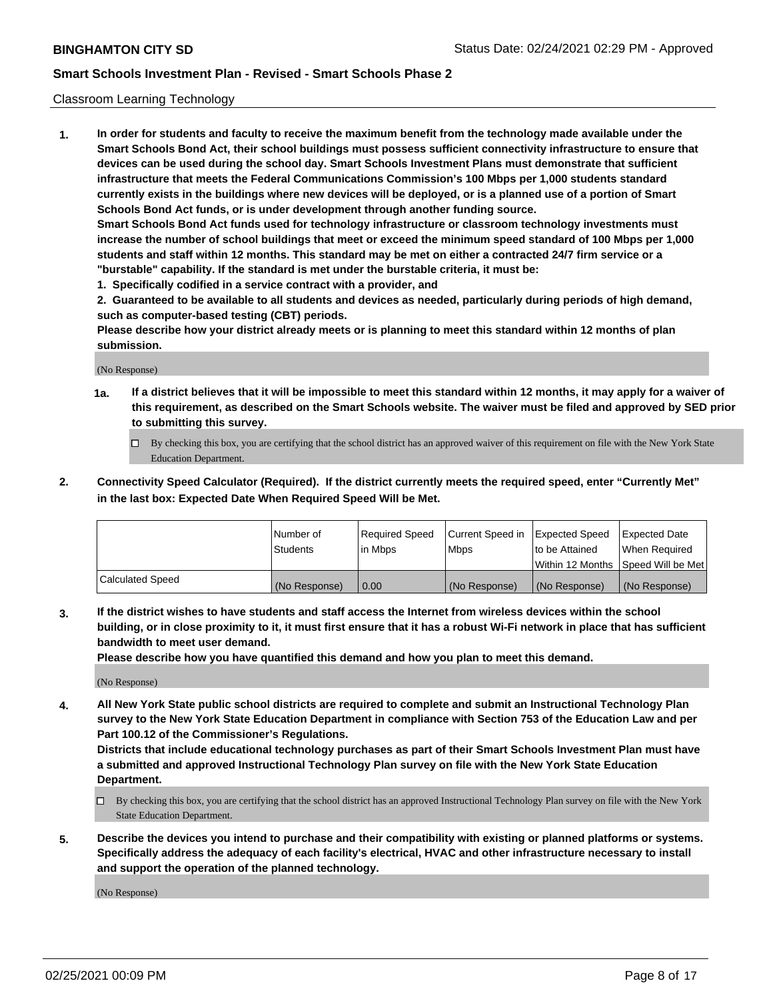### Classroom Learning Technology

**1. In order for students and faculty to receive the maximum benefit from the technology made available under the Smart Schools Bond Act, their school buildings must possess sufficient connectivity infrastructure to ensure that devices can be used during the school day. Smart Schools Investment Plans must demonstrate that sufficient infrastructure that meets the Federal Communications Commission's 100 Mbps per 1,000 students standard currently exists in the buildings where new devices will be deployed, or is a planned use of a portion of Smart Schools Bond Act funds, or is under development through another funding source. Smart Schools Bond Act funds used for technology infrastructure or classroom technology investments must increase the number of school buildings that meet or exceed the minimum speed standard of 100 Mbps per 1,000 students and staff within 12 months. This standard may be met on either a contracted 24/7 firm service or a**

- **"burstable" capability. If the standard is met under the burstable criteria, it must be:**
- **1. Specifically codified in a service contract with a provider, and**

**2. Guaranteed to be available to all students and devices as needed, particularly during periods of high demand, such as computer-based testing (CBT) periods.**

**Please describe how your district already meets or is planning to meet this standard within 12 months of plan submission.**

(No Response)

- **1a. If a district believes that it will be impossible to meet this standard within 12 months, it may apply for a waiver of this requirement, as described on the Smart Schools website. The waiver must be filed and approved by SED prior to submitting this survey.**
	- By checking this box, you are certifying that the school district has an approved waiver of this requirement on file with the New York State Education Department.
- **2. Connectivity Speed Calculator (Required). If the district currently meets the required speed, enter "Currently Met" in the last box: Expected Date When Required Speed Will be Met.**

|                  | l Number of     | Required Speed | Current Speed in | <b>Expected Speed</b> | <b>Expected Date</b>                |
|------------------|-----------------|----------------|------------------|-----------------------|-------------------------------------|
|                  | <b>Students</b> | l in Mbps      | l Mbps           | to be Attained        | When Required                       |
|                  |                 |                |                  |                       | Within 12 Months  Speed Will be Met |
| Calculated Speed | (No Response)   | 0.00           | (No Response)    | l (No Response)       | (No Response)                       |

**3. If the district wishes to have students and staff access the Internet from wireless devices within the school building, or in close proximity to it, it must first ensure that it has a robust Wi-Fi network in place that has sufficient bandwidth to meet user demand.**

**Please describe how you have quantified this demand and how you plan to meet this demand.**

(No Response)

**4. All New York State public school districts are required to complete and submit an Instructional Technology Plan survey to the New York State Education Department in compliance with Section 753 of the Education Law and per Part 100.12 of the Commissioner's Regulations.**

**Districts that include educational technology purchases as part of their Smart Schools Investment Plan must have a submitted and approved Instructional Technology Plan survey on file with the New York State Education Department.**

- By checking this box, you are certifying that the school district has an approved Instructional Technology Plan survey on file with the New York State Education Department.
- **5. Describe the devices you intend to purchase and their compatibility with existing or planned platforms or systems. Specifically address the adequacy of each facility's electrical, HVAC and other infrastructure necessary to install and support the operation of the planned technology.**

(No Response)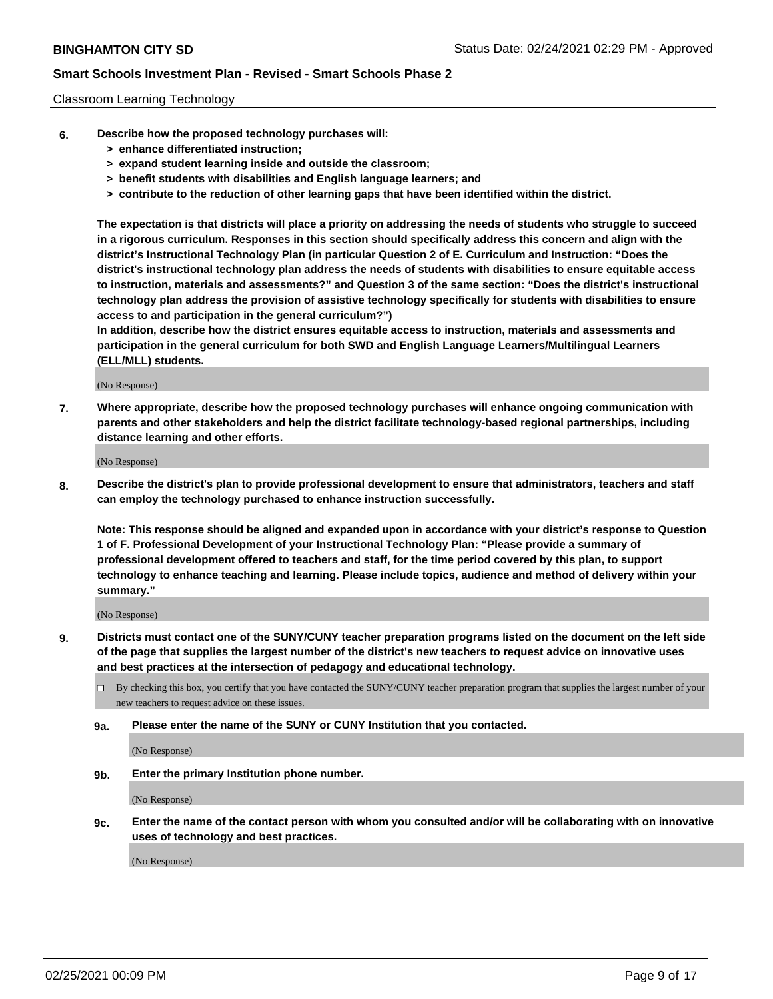### Classroom Learning Technology

- **6. Describe how the proposed technology purchases will:**
	- **> enhance differentiated instruction;**
	- **> expand student learning inside and outside the classroom;**
	- **> benefit students with disabilities and English language learners; and**
	- **> contribute to the reduction of other learning gaps that have been identified within the district.**

**The expectation is that districts will place a priority on addressing the needs of students who struggle to succeed in a rigorous curriculum. Responses in this section should specifically address this concern and align with the district's Instructional Technology Plan (in particular Question 2 of E. Curriculum and Instruction: "Does the district's instructional technology plan address the needs of students with disabilities to ensure equitable access to instruction, materials and assessments?" and Question 3 of the same section: "Does the district's instructional technology plan address the provision of assistive technology specifically for students with disabilities to ensure access to and participation in the general curriculum?")**

**In addition, describe how the district ensures equitable access to instruction, materials and assessments and participation in the general curriculum for both SWD and English Language Learners/Multilingual Learners (ELL/MLL) students.**

(No Response)

**7. Where appropriate, describe how the proposed technology purchases will enhance ongoing communication with parents and other stakeholders and help the district facilitate technology-based regional partnerships, including distance learning and other efforts.**

(No Response)

**8. Describe the district's plan to provide professional development to ensure that administrators, teachers and staff can employ the technology purchased to enhance instruction successfully.**

**Note: This response should be aligned and expanded upon in accordance with your district's response to Question 1 of F. Professional Development of your Instructional Technology Plan: "Please provide a summary of professional development offered to teachers and staff, for the time period covered by this plan, to support technology to enhance teaching and learning. Please include topics, audience and method of delivery within your summary."**

(No Response)

- **9. Districts must contact one of the SUNY/CUNY teacher preparation programs listed on the document on the left side of the page that supplies the largest number of the district's new teachers to request advice on innovative uses and best practices at the intersection of pedagogy and educational technology.**
	- By checking this box, you certify that you have contacted the SUNY/CUNY teacher preparation program that supplies the largest number of your new teachers to request advice on these issues.
	- **9a. Please enter the name of the SUNY or CUNY Institution that you contacted.**

(No Response)

**9b. Enter the primary Institution phone number.**

(No Response)

**9c. Enter the name of the contact person with whom you consulted and/or will be collaborating with on innovative uses of technology and best practices.**

(No Response)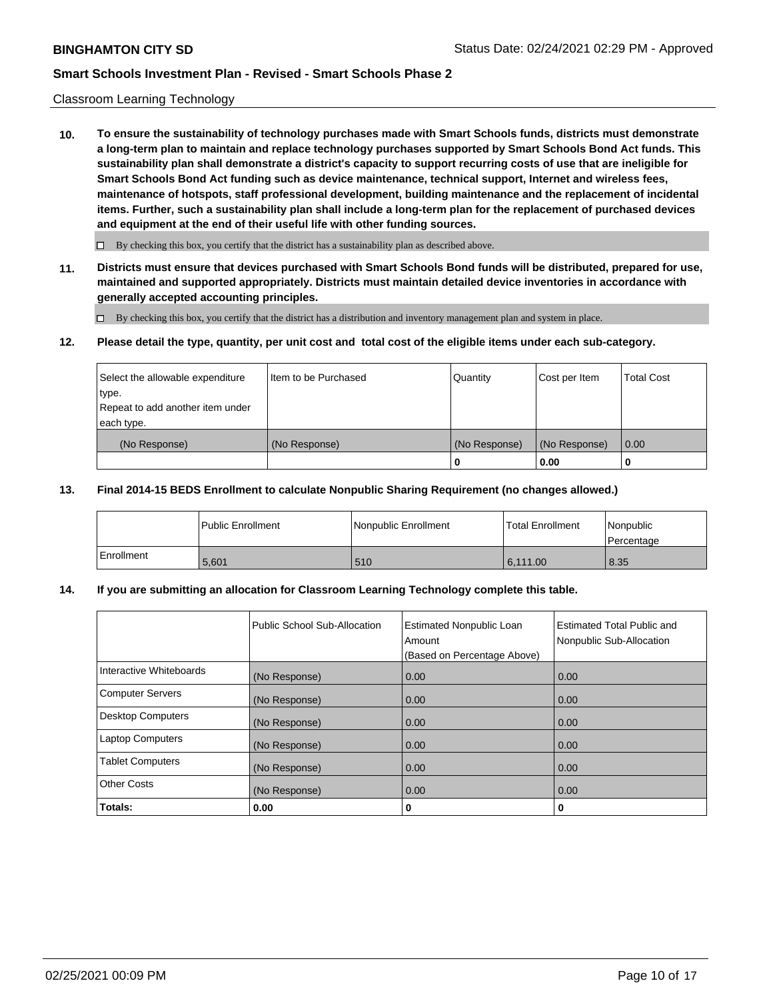#### Classroom Learning Technology

**10. To ensure the sustainability of technology purchases made with Smart Schools funds, districts must demonstrate a long-term plan to maintain and replace technology purchases supported by Smart Schools Bond Act funds. This sustainability plan shall demonstrate a district's capacity to support recurring costs of use that are ineligible for Smart Schools Bond Act funding such as device maintenance, technical support, Internet and wireless fees, maintenance of hotspots, staff professional development, building maintenance and the replacement of incidental items. Further, such a sustainability plan shall include a long-term plan for the replacement of purchased devices and equipment at the end of their useful life with other funding sources.**

 $\Box$  By checking this box, you certify that the district has a sustainability plan as described above.

**11. Districts must ensure that devices purchased with Smart Schools Bond funds will be distributed, prepared for use, maintained and supported appropriately. Districts must maintain detailed device inventories in accordance with generally accepted accounting principles.**

By checking this box, you certify that the district has a distribution and inventory management plan and system in place.

#### **12. Please detail the type, quantity, per unit cost and total cost of the eligible items under each sub-category.**

| Select the allowable expenditure          | Item to be Purchased | Quantity      | Cost per Item | Total Cost |
|-------------------------------------------|----------------------|---------------|---------------|------------|
| type.<br>Repeat to add another item under |                      |               |               |            |
| each type.                                |                      |               |               |            |
| (No Response)                             | (No Response)        | (No Response) | (No Response) | 0.00       |
|                                           |                      |               | 0.00          |            |

#### **13. Final 2014-15 BEDS Enrollment to calculate Nonpublic Sharing Requirement (no changes allowed.)**

|                   | <b>Public Enrollment</b> | Nonpublic Enrollment | l Total Enrollment | <i>Nonpublic</i><br>l Percentage |
|-------------------|--------------------------|----------------------|--------------------|----------------------------------|
| <b>Enrollment</b> | 5.601                    | 510                  | 6.111.00           | 8.35                             |

### **14. If you are submitting an allocation for Classroom Learning Technology complete this table.**

|                         | Public School Sub-Allocation | <b>Estimated Nonpublic Loan</b><br>Amount<br>(Based on Percentage Above) | Estimated Total Public and<br>Nonpublic Sub-Allocation |
|-------------------------|------------------------------|--------------------------------------------------------------------------|--------------------------------------------------------|
| Interactive Whiteboards | (No Response)                | 0.00                                                                     | 0.00                                                   |
| Computer Servers        | (No Response)                | 0.00                                                                     | 0.00                                                   |
| Desktop Computers       | (No Response)                | 0.00                                                                     | 0.00                                                   |
| <b>Laptop Computers</b> | (No Response)                | 0.00                                                                     | 0.00                                                   |
| <b>Tablet Computers</b> | (No Response)                | 0.00                                                                     | 0.00                                                   |
| Other Costs             | (No Response)                | 0.00                                                                     | 0.00                                                   |
| Totals:                 | 0.00                         | 0                                                                        | 0                                                      |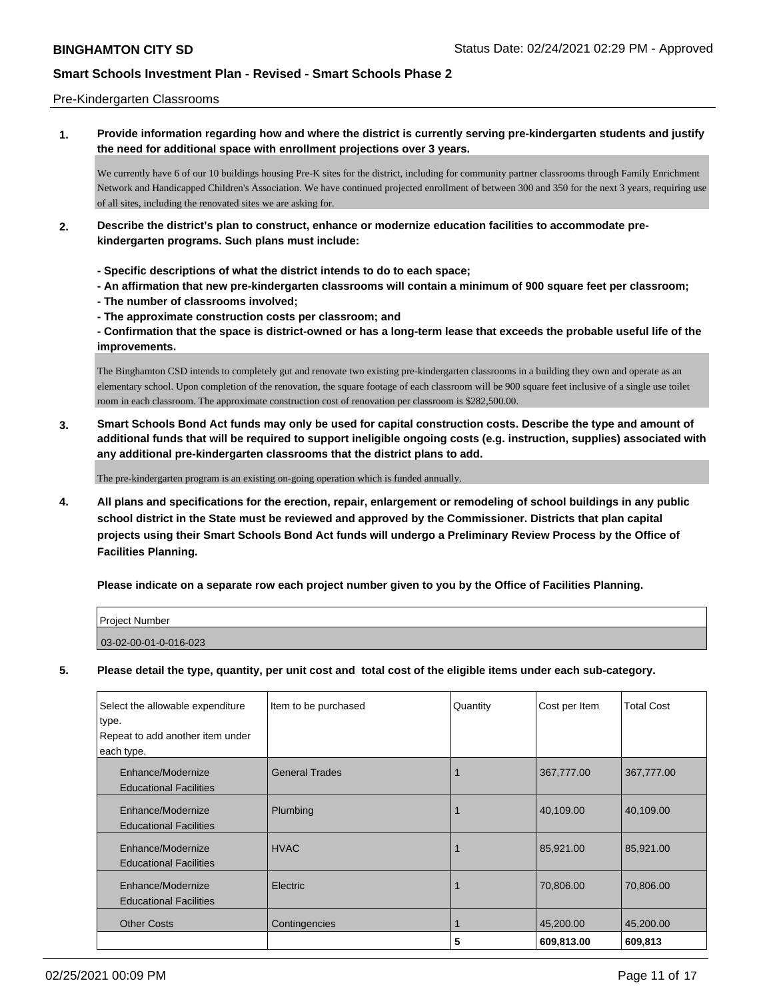### Pre-Kindergarten Classrooms

**1. Provide information regarding how and where the district is currently serving pre-kindergarten students and justify the need for additional space with enrollment projections over 3 years.**

We currently have 6 of our 10 buildings housing Pre-K sites for the district, including for community partner classrooms through Family Enrichment Network and Handicapped Children's Association. We have continued projected enrollment of between 300 and 350 for the next 3 years, requiring use of all sites, including the renovated sites we are asking for.

- **2. Describe the district's plan to construct, enhance or modernize education facilities to accommodate prekindergarten programs. Such plans must include:**
	- **Specific descriptions of what the district intends to do to each space;**
	- **An affirmation that new pre-kindergarten classrooms will contain a minimum of 900 square feet per classroom;**
	- **The number of classrooms involved;**
	- **The approximate construction costs per classroom; and**

**- Confirmation that the space is district-owned or has a long-term lease that exceeds the probable useful life of the improvements.**

The Binghamton CSD intends to completely gut and renovate two existing pre-kindergarten classrooms in a building they own and operate as an elementary school. Upon completion of the renovation, the square footage of each classroom will be 900 square feet inclusive of a single use toilet room in each classroom. The approximate construction cost of renovation per classroom is \$282,500.00.

**3. Smart Schools Bond Act funds may only be used for capital construction costs. Describe the type and amount of additional funds that will be required to support ineligible ongoing costs (e.g. instruction, supplies) associated with any additional pre-kindergarten classrooms that the district plans to add.**

The pre-kindergarten program is an existing on-going operation which is funded annually.

**4. All plans and specifications for the erection, repair, enlargement or remodeling of school buildings in any public school district in the State must be reviewed and approved by the Commissioner. Districts that plan capital projects using their Smart Schools Bond Act funds will undergo a Preliminary Review Process by the Office of Facilities Planning.**

**Please indicate on a separate row each project number given to you by the Office of Facilities Planning.**

| <b>Project Number</b> |  |
|-----------------------|--|
| 03-02-00-01-0-016-023 |  |

**5. Please detail the type, quantity, per unit cost and total cost of the eligible items under each sub-category.**

| Select the allowable expenditure<br>type.<br>Repeat to add another item under<br>each type. | Item to be purchased  | Quantity | Cost per Item | <b>Total Cost</b> |
|---------------------------------------------------------------------------------------------|-----------------------|----------|---------------|-------------------|
| Enhance/Modernize<br><b>Educational Facilities</b>                                          | <b>General Trades</b> |          | 367,777.00    | 367,777.00        |
| Enhance/Modernize<br><b>Educational Facilities</b>                                          | Plumbing              |          | 40,109.00     | 40,109.00         |
| Enhance/Modernize<br><b>Educational Facilities</b>                                          | <b>HVAC</b>           |          | 85,921.00     | 85,921.00         |
| Enhance/Modernize<br><b>Educational Facilities</b>                                          | Electric              |          | 70,806.00     | 70,806.00         |
| <b>Other Costs</b>                                                                          | Contingencies         |          | 45,200.00     | 45,200.00         |
|                                                                                             |                       | 5        | 609,813.00    | 609,813           |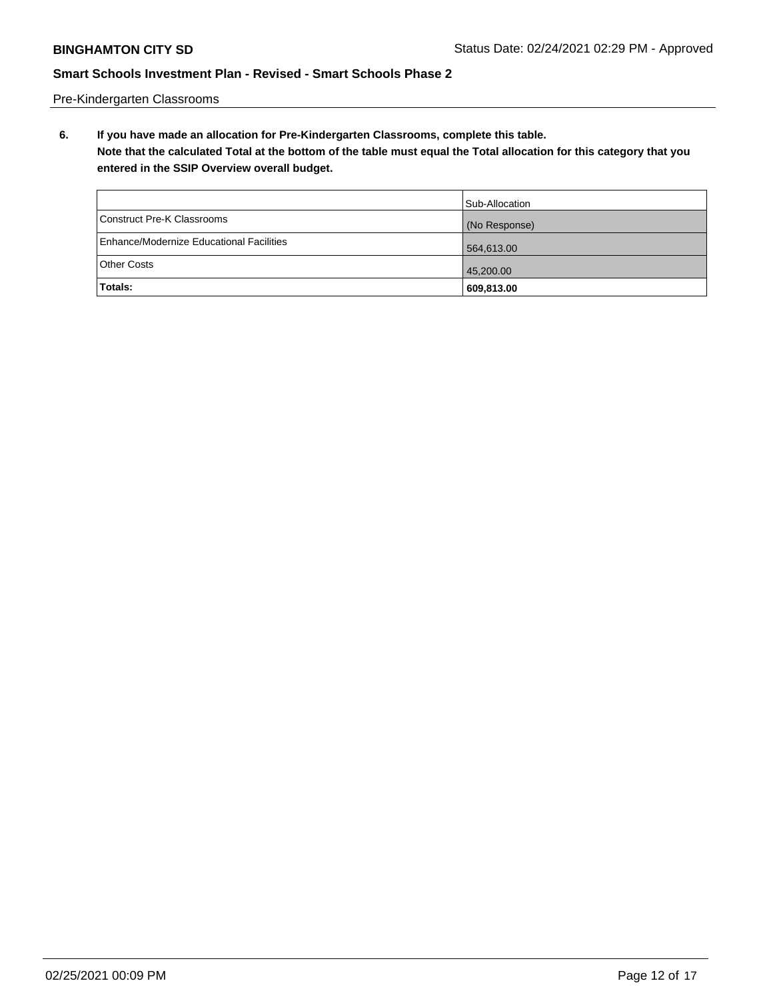Pre-Kindergarten Classrooms

**6. If you have made an allocation for Pre-Kindergarten Classrooms, complete this table. Note that the calculated Total at the bottom of the table must equal the Total allocation for this category that you entered in the SSIP Overview overall budget.**

|                                          | Sub-Allocation |
|------------------------------------------|----------------|
| Construct Pre-K Classrooms               | (No Response)  |
| Enhance/Modernize Educational Facilities | 564,613.00     |
| Other Costs                              | 45,200.00      |
| Totals:                                  | 609,813.00     |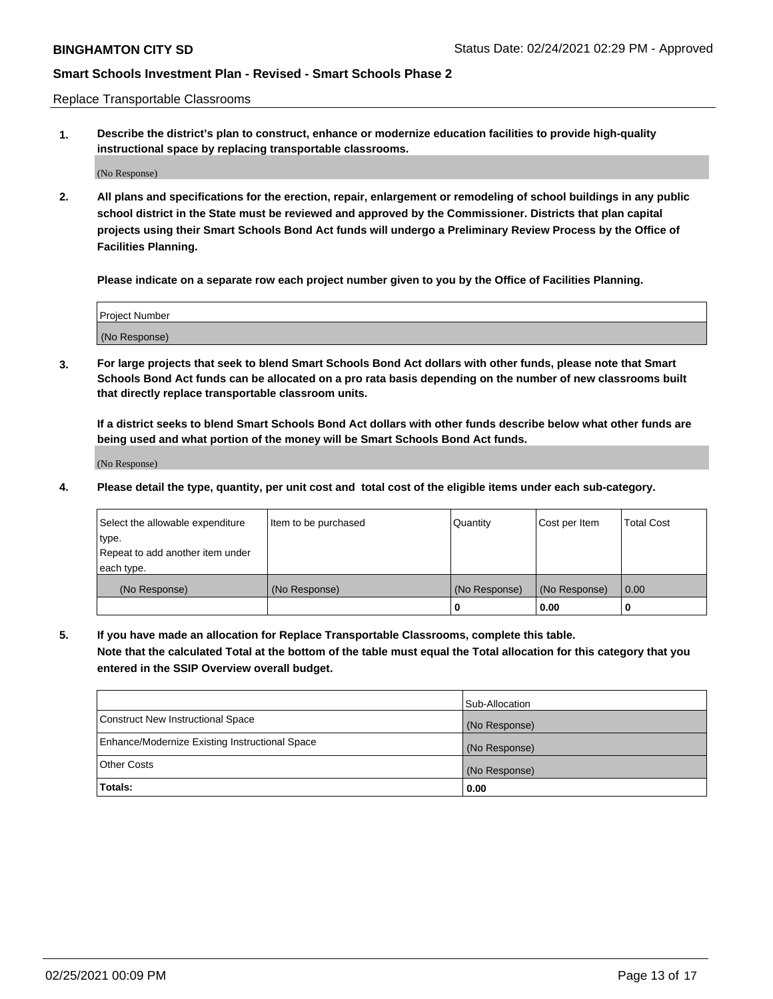Replace Transportable Classrooms

**1. Describe the district's plan to construct, enhance or modernize education facilities to provide high-quality instructional space by replacing transportable classrooms.**

(No Response)

**2. All plans and specifications for the erection, repair, enlargement or remodeling of school buildings in any public school district in the State must be reviewed and approved by the Commissioner. Districts that plan capital projects using their Smart Schools Bond Act funds will undergo a Preliminary Review Process by the Office of Facilities Planning.**

**Please indicate on a separate row each project number given to you by the Office of Facilities Planning.**

| Project Number |  |
|----------------|--|
|                |  |
|                |  |
|                |  |
|                |  |
| (No Response)  |  |
|                |  |
|                |  |
|                |  |

**3. For large projects that seek to blend Smart Schools Bond Act dollars with other funds, please note that Smart Schools Bond Act funds can be allocated on a pro rata basis depending on the number of new classrooms built that directly replace transportable classroom units.**

**If a district seeks to blend Smart Schools Bond Act dollars with other funds describe below what other funds are being used and what portion of the money will be Smart Schools Bond Act funds.**

(No Response)

**4. Please detail the type, quantity, per unit cost and total cost of the eligible items under each sub-category.**

| Select the allowable expenditure | Item to be purchased | Quantity      | Cost per Item | Total Cost |
|----------------------------------|----------------------|---------------|---------------|------------|
| ∣type.                           |                      |               |               |            |
| Repeat to add another item under |                      |               |               |            |
| each type.                       |                      |               |               |            |
| (No Response)                    | (No Response)        | (No Response) | (No Response) | 0.00       |
|                                  |                      | u             | 0.00          |            |

**5. If you have made an allocation for Replace Transportable Classrooms, complete this table. Note that the calculated Total at the bottom of the table must equal the Total allocation for this category that you entered in the SSIP Overview overall budget.**

|                                                | Sub-Allocation |
|------------------------------------------------|----------------|
| Construct New Instructional Space              | (No Response)  |
| Enhance/Modernize Existing Instructional Space | (No Response)  |
| Other Costs                                    | (No Response)  |
| Totals:                                        | 0.00           |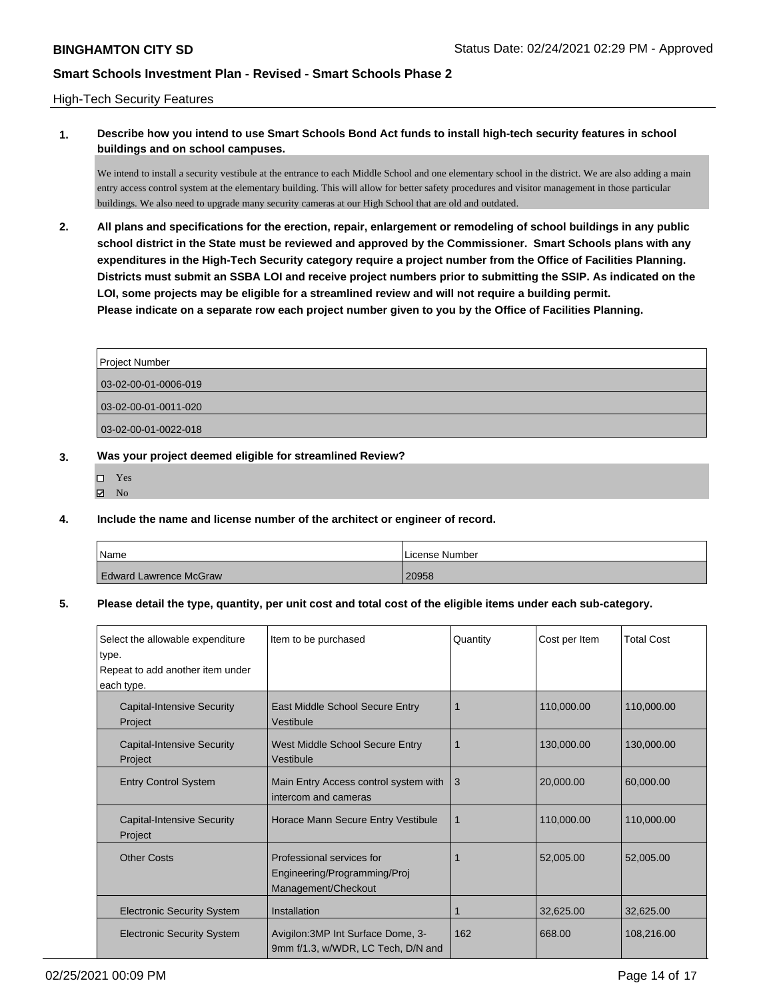### High-Tech Security Features

## **1. Describe how you intend to use Smart Schools Bond Act funds to install high-tech security features in school buildings and on school campuses.**

We intend to install a security vestibule at the entrance to each Middle School and one elementary school in the district. We are also adding a main entry access control system at the elementary building. This will allow for better safety procedures and visitor management in those particular buildings. We also need to upgrade many security cameras at our High School that are old and outdated.

**2. All plans and specifications for the erection, repair, enlargement or remodeling of school buildings in any public school district in the State must be reviewed and approved by the Commissioner. Smart Schools plans with any expenditures in the High-Tech Security category require a project number from the Office of Facilities Planning. Districts must submit an SSBA LOI and receive project numbers prior to submitting the SSIP. As indicated on the LOI, some projects may be eligible for a streamlined review and will not require a building permit. Please indicate on a separate row each project number given to you by the Office of Facilities Planning.**

| Project Number       |
|----------------------|
| 03-02-00-01-0006-019 |
| 03-02-00-01-0011-020 |
| 03-02-00-01-0022-018 |

### **3. Was your project deemed eligible for streamlined Review?**

- Yes
- $\boxtimes$  No

### **4. Include the name and license number of the architect or engineer of record.**

| Name                          | License Number |
|-------------------------------|----------------|
| <b>Edward Lawrence McGraw</b> | 20958          |

### **5. Please detail the type, quantity, per unit cost and total cost of the eligible items under each sub-category.**

| Select the allowable expenditure<br>type.<br>Repeat to add another item under<br>each type. | Item to be purchased                                                             | Quantity    | Cost per Item | <b>Total Cost</b> |
|---------------------------------------------------------------------------------------------|----------------------------------------------------------------------------------|-------------|---------------|-------------------|
| <b>Capital-Intensive Security</b><br>Project                                                | East Middle School Secure Entry<br>Vestibule                                     |             | 110,000.00    | 110,000.00        |
| <b>Capital-Intensive Security</b><br>Project                                                | West Middle School Secure Entry<br>Vestibule                                     |             | 130,000.00    | 130,000.00        |
| <b>Entry Control System</b>                                                                 | Main Entry Access control system with<br>intercom and cameras                    | 3           | 20,000.00     | 60.000.00         |
| <b>Capital-Intensive Security</b><br>Project                                                | Horace Mann Secure Entry Vestibule                                               | $\mathbf 1$ | 110,000.00    | 110,000.00        |
| <b>Other Costs</b>                                                                          | Professional services for<br>Engineering/Programming/Proj<br>Management/Checkout |             | 52,005.00     | 52,005.00         |
| <b>Electronic Security System</b>                                                           | Installation                                                                     |             | 32,625.00     | 32,625.00         |
| <b>Electronic Security System</b>                                                           | Avigilon: 3MP Int Surface Dome, 3-<br>9mm f/1.3, w/WDR, LC Tech, D/N and         | 162         | 668.00        | 108,216.00        |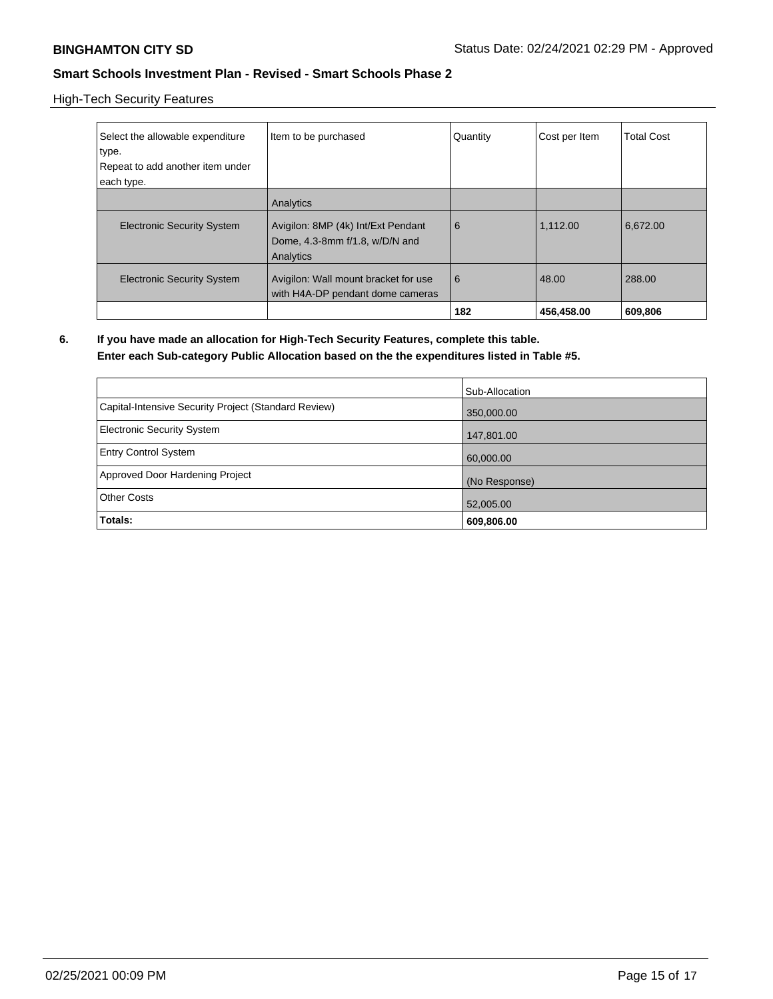High-Tech Security Features

| Select the allowable expenditure<br>type.<br>Repeat to add another item under<br>each type. | Item to be purchased                                                              | Quantity | Cost per Item | <b>Total Cost</b> |
|---------------------------------------------------------------------------------------------|-----------------------------------------------------------------------------------|----------|---------------|-------------------|
| <b>Electronic Security System</b>                                                           | Analytics<br>Avigilon: 8MP (4k) Int/Ext Pendant<br>Dome, 4.3-8mm f/1.8, w/D/N and | 6        | 1,112.00      | 6,672.00          |
|                                                                                             | Analytics                                                                         |          |               |                   |
| <b>Electronic Security System</b>                                                           | Avigilon: Wall mount bracket for use<br>with H4A-DP pendant dome cameras          | 6        | 48.00         | 288.00            |
|                                                                                             |                                                                                   | 182      | 456,458.00    | 609,806           |

**6. If you have made an allocation for High-Tech Security Features, complete this table.**

### **Enter each Sub-category Public Allocation based on the the expenditures listed in Table #5.**

|                                                      | Sub-Allocation |
|------------------------------------------------------|----------------|
| Capital-Intensive Security Project (Standard Review) | 350,000.00     |
| Electronic Security System                           | 147,801.00     |
| <b>Entry Control System</b>                          | 60,000.00      |
| Approved Door Hardening Project                      | (No Response)  |
| <b>Other Costs</b>                                   | 52,005.00      |
| Totals:                                              | 609,806.00     |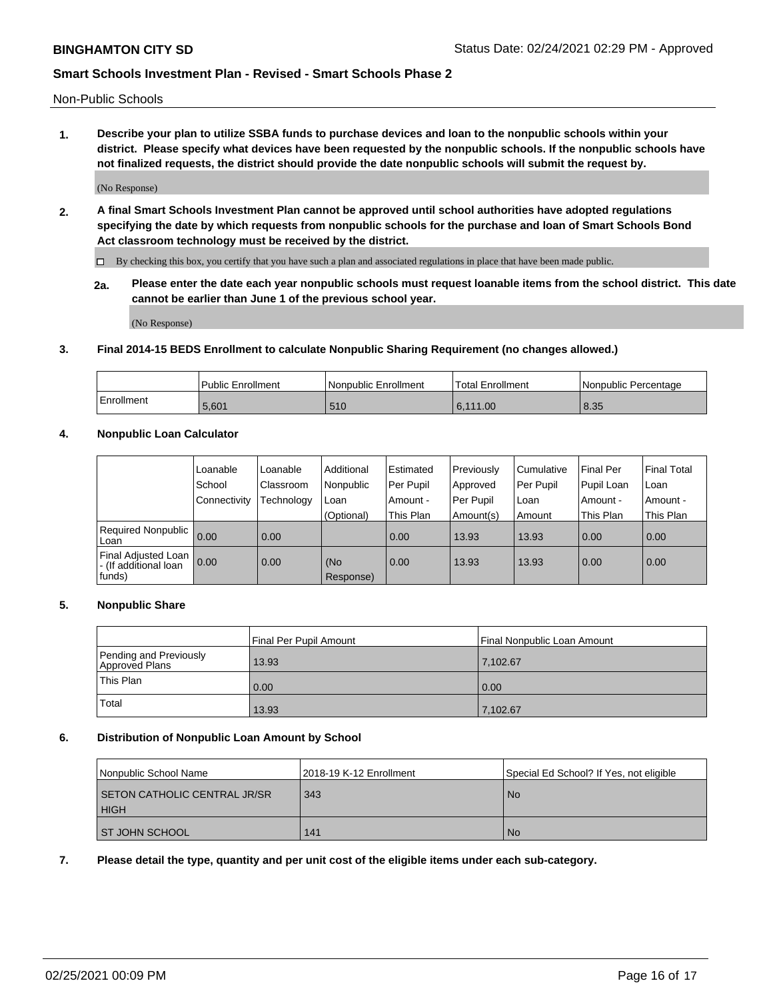Non-Public Schools

**1. Describe your plan to utilize SSBA funds to purchase devices and loan to the nonpublic schools within your district. Please specify what devices have been requested by the nonpublic schools. If the nonpublic schools have not finalized requests, the district should provide the date nonpublic schools will submit the request by.**

(No Response)

**2. A final Smart Schools Investment Plan cannot be approved until school authorities have adopted regulations specifying the date by which requests from nonpublic schools for the purchase and loan of Smart Schools Bond Act classroom technology must be received by the district.**

By checking this box, you certify that you have such a plan and associated regulations in place that have been made public.

**2a. Please enter the date each year nonpublic schools must request loanable items from the school district. This date cannot be earlier than June 1 of the previous school year.**

(No Response)

### **3. Final 2014-15 BEDS Enrollment to calculate Nonpublic Sharing Requirement (no changes allowed.)**

|            | Public Enrollment | Nonpublic Enrollment | Total Enrollment | l Nonpublic Percentage |
|------------|-------------------|----------------------|------------------|------------------------|
| Enrollment | 5.601             | 510                  | 6.111.00         | 8.35                   |

### **4. Nonpublic Loan Calculator**

|                                                        | Loanable     | Loanable   | Additional       | Estimated | Previously | Cumulative | Final Per  | <b>Final Total</b> |
|--------------------------------------------------------|--------------|------------|------------------|-----------|------------|------------|------------|--------------------|
|                                                        | School       | Classroom  | Nonpublic        | Per Pupil | Approved   | Per Pupil  | Pupil Loan | Loan               |
|                                                        | Connectivity | Technology | Loan             | Amount -  | Per Pupil  | Loan       | Amount -   | Amount -           |
|                                                        |              |            | (Optional)       | This Plan | Amount(s)  | Amount     | This Plan  | This Plan          |
| Required Nonpublic<br>Loan                             | 0.00         | 0.00       |                  | 0.00      | 13.93      | 13.93      | 0.00       | 0.00               |
| Final Adjusted Loan<br>- (If additional loan<br>funds) | 0.00         | 0.00       | (No<br>Response) | 0.00      | 13.93      | 13.93      | 0.00       | 0.00               |

### **5. Nonpublic Share**

|                                          | Final Per Pupil Amount | Final Nonpublic Loan Amount |
|------------------------------------------|------------------------|-----------------------------|
| Pending and Previously<br>Approved Plans | 13.93                  | 7.102.67                    |
| This Plan                                | 0.00                   | 0.00                        |
| Total                                    | 13.93                  | 7,102.67                    |

### **6. Distribution of Nonpublic Loan Amount by School**

| Nonpublic School Name                       | 2018-19 K-12 Enrollment | Special Ed School? If Yes, not eligible |
|---------------------------------------------|-------------------------|-----------------------------------------|
| SETON CATHOLIC CENTRAL JR/SR<br><b>HIGH</b> | 343                     | No.                                     |
| I ST JOHN SCHOOL                            | 141                     | <b>No</b>                               |

**7. Please detail the type, quantity and per unit cost of the eligible items under each sub-category.**